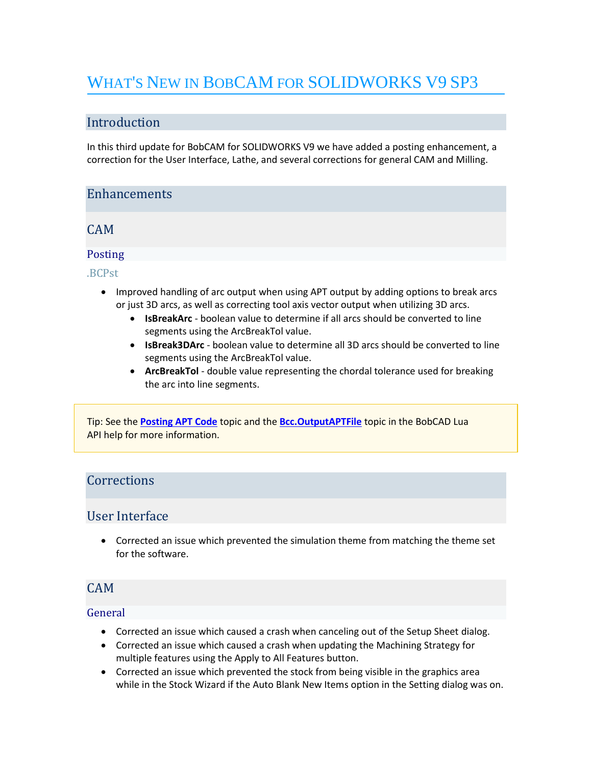# WHAT'S NEW IN BOBCAM FOR SOLIDWORKS V9 SP3

## Introduction

In this third update for BobCAM for SOLIDWORKS V9 we have added a posting enhancement, a correction for the User Interface, Lathe, and several corrections for general CAM and Milling.

## **Enhancements**

CAM

## Posting

.BCPst

- Improved handling of arc output when using APT output by adding options to break arcs or just 3D arcs, as well as correcting tool axis vector output when utilizing 3D arcs.
	- **IsBreakArc** boolean value to determine if all arcs should be converted to line segments using the ArcBreakTol value.
	- **IsBreak3DArc** boolean value to determine all 3D arcs should be converted to line segments using the ArcBreakTol value.
	- **ArcBreakTol** double value representing the chordal tolerance used for breaking the arc into line segments.

Tip: See the **[Posting APT Code](https://bobcad.com/components/webhelp/BobCADCAMV34/Content/Merge/CAM/Posting_G-Code/Posting_APT_Code.htm)** topic and the **[Bcc.OutputAPTFile](https://bobcad.com/components/webhelp/BC_Lua/BccOutputAPTFile.html)** topic in the BobCAD Lua API help for more information.

## **Corrections**

## User Interface

• Corrected an issue which prevented the simulation theme from matching the theme set for the software.

## CAM

#### General

- Corrected an issue which caused a crash when canceling out of the Setup Sheet dialog.
- Corrected an issue which caused a crash when updating the Machining Strategy for multiple features using the Apply to All Features button.
- Corrected an issue which prevented the stock from being visible in the graphics area while in the Stock Wizard if the Auto Blank New Items option in the Setting dialog was on.